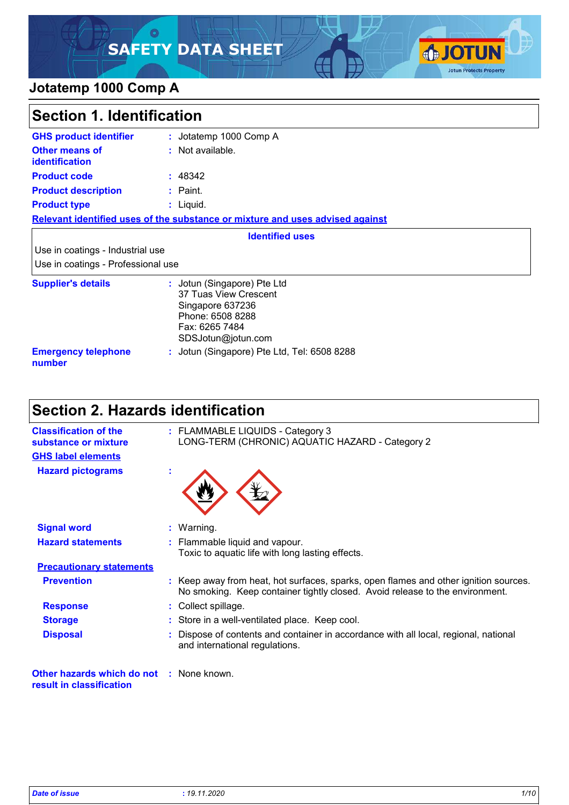### O **SAFETY DATA SHEET**



### **Jotatemp 1000 Comp A**

| <b>Section 1. Identification</b>        |                                                                                                                                      |
|-----------------------------------------|--------------------------------------------------------------------------------------------------------------------------------------|
| <b>GHS product identifier</b>           | : Jotatemp 1000 Comp A                                                                                                               |
| Other means of<br><b>identification</b> | : Not available.                                                                                                                     |
| <b>Product code</b>                     | : 48342                                                                                                                              |
| <b>Product description</b>              | $:$ Paint.                                                                                                                           |
| <b>Product type</b>                     | $:$ Liquid.                                                                                                                          |
|                                         | Relevant identified uses of the substance or mixture and uses advised against                                                        |
|                                         | <b>Identified uses</b>                                                                                                               |
| Use in coatings - Industrial use        |                                                                                                                                      |
| Use in coatings - Professional use      |                                                                                                                                      |
| <b>Supplier's details</b>               | : Jotun (Singapore) Pte Ltd<br>37 Tuas View Crescent<br>Singapore 637236<br>Phone: 6508 8288<br>Fax: 6265 7484<br>SDSJotun@jotun.com |
| <b>Emergency telephone</b><br>number    | : Jotun (Singapore) Pte Ltd, Tel: 6508 8288                                                                                          |

# **Section 2. Hazards identification**

| <b>Classification of the</b><br>substance or mixture                        | : FLAMMABLE LIQUIDS - Category 3<br>LONG-TERM (CHRONIC) AQUATIC HAZARD - Category 2                                                                                  |
|-----------------------------------------------------------------------------|----------------------------------------------------------------------------------------------------------------------------------------------------------------------|
| <b>GHS label elements</b>                                                   |                                                                                                                                                                      |
| <b>Hazard pictograms</b>                                                    |                                                                                                                                                                      |
| <b>Signal word</b>                                                          | : Warning.                                                                                                                                                           |
| <b>Hazard statements</b>                                                    | : Flammable liquid and vapour.<br>Toxic to aquatic life with long lasting effects.                                                                                   |
| <b>Precautionary statements</b>                                             |                                                                                                                                                                      |
| <b>Prevention</b>                                                           | : Keep away from heat, hot surfaces, sparks, open flames and other ignition sources.<br>No smoking. Keep container tightly closed. Avoid release to the environment. |
| <b>Response</b>                                                             | : Collect spillage.                                                                                                                                                  |
| <b>Storage</b>                                                              | : Store in a well-ventilated place. Keep cool.                                                                                                                       |
| <b>Disposal</b>                                                             | : Dispose of contents and container in accordance with all local, regional, national<br>and international regulations.                                               |
| <b>Other hazards which do not : None known.</b><br>result in classification |                                                                                                                                                                      |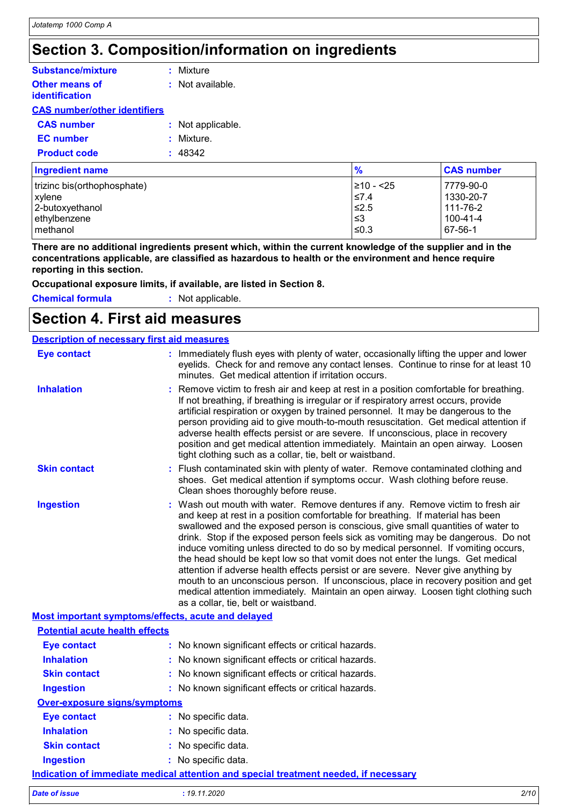## **Section 3. Composition/information on ingredients**

| <b>Substance/mixture</b>                       | : Mixture         |
|------------------------------------------------|-------------------|
| <b>Other means of</b><br><b>identification</b> | : Not available.  |
| <b>CAS number/other identifiers</b>            |                   |
| <b>CAS number</b>                              | : Not applicable. |
| <b>EC</b> number                               | : Mixture.        |
| <b>Product code</b>                            | : 48342           |
| Ingradiant nama                                |                   |

| <b>Ingredient name</b>      | $\frac{9}{6}$  | <b>CAS number</b> |
|-----------------------------|----------------|-------------------|
| trizinc bis(orthophosphate) | $\geq 10 - 25$ | 7779-90-0         |
| xylene                      | $\leq 7.4$     | 1330-20-7         |
| 2-butoxyethanol             | ≤2.5           | 111-76-2          |
| ethylbenzene                | l≤3            | 100-41-4          |
| l methanol                  | $\leq$ 0.3     | 67-56-1           |

**There are no additional ingredients present which, within the current knowledge of the supplier and in the concentrations applicable, are classified as hazardous to health or the environment and hence require reporting in this section.**

**Occupational exposure limits, if available, are listed in Section 8.**

**Chemical formula :** Not applicable.

### **Section 4. First aid measures**

|                                       | <b>Description of necessary first aid measures</b>                                                                                                                                                                                                                                                                                                                                                                                                                                                                                                                                                                                                                                                                                                                                                                           |
|---------------------------------------|------------------------------------------------------------------------------------------------------------------------------------------------------------------------------------------------------------------------------------------------------------------------------------------------------------------------------------------------------------------------------------------------------------------------------------------------------------------------------------------------------------------------------------------------------------------------------------------------------------------------------------------------------------------------------------------------------------------------------------------------------------------------------------------------------------------------------|
| <b>Eye contact</b>                    | : Immediately flush eyes with plenty of water, occasionally lifting the upper and lower<br>eyelids. Check for and remove any contact lenses. Continue to rinse for at least 10<br>minutes. Get medical attention if irritation occurs.                                                                                                                                                                                                                                                                                                                                                                                                                                                                                                                                                                                       |
| <b>Inhalation</b>                     | : Remove victim to fresh air and keep at rest in a position comfortable for breathing.<br>If not breathing, if breathing is irregular or if respiratory arrest occurs, provide<br>artificial respiration or oxygen by trained personnel. It may be dangerous to the<br>person providing aid to give mouth-to-mouth resuscitation. Get medical attention if<br>adverse health effects persist or are severe. If unconscious, place in recovery<br>position and get medical attention immediately. Maintain an open airway. Loosen<br>tight clothing such as a collar, tie, belt or waistband.                                                                                                                                                                                                                                 |
| <b>Skin contact</b>                   | : Flush contaminated skin with plenty of water. Remove contaminated clothing and<br>shoes. Get medical attention if symptoms occur. Wash clothing before reuse.<br>Clean shoes thoroughly before reuse.                                                                                                                                                                                                                                                                                                                                                                                                                                                                                                                                                                                                                      |
| <b>Ingestion</b>                      | : Wash out mouth with water. Remove dentures if any. Remove victim to fresh air<br>and keep at rest in a position comfortable for breathing. If material has been<br>swallowed and the exposed person is conscious, give small quantities of water to<br>drink. Stop if the exposed person feels sick as vomiting may be dangerous. Do not<br>induce vomiting unless directed to do so by medical personnel. If vomiting occurs,<br>the head should be kept low so that vomit does not enter the lungs. Get medical<br>attention if adverse health effects persist or are severe. Never give anything by<br>mouth to an unconscious person. If unconscious, place in recovery position and get<br>medical attention immediately. Maintain an open airway. Loosen tight clothing such<br>as a collar, tie, belt or waistband. |
|                                       | Most important symptoms/effects, acute and delayed                                                                                                                                                                                                                                                                                                                                                                                                                                                                                                                                                                                                                                                                                                                                                                           |
| <b>Potential acute health effects</b> |                                                                                                                                                                                                                                                                                                                                                                                                                                                                                                                                                                                                                                                                                                                                                                                                                              |
| <b>Eye contact</b>                    | : No known significant effects or critical hazards.                                                                                                                                                                                                                                                                                                                                                                                                                                                                                                                                                                                                                                                                                                                                                                          |
| <b>Inhalation</b>                     | No known significant effects or critical hazards.                                                                                                                                                                                                                                                                                                                                                                                                                                                                                                                                                                                                                                                                                                                                                                            |
| <b>Skin contact</b>                   | : No known significant effects or critical hazards.                                                                                                                                                                                                                                                                                                                                                                                                                                                                                                                                                                                                                                                                                                                                                                          |
| <b>Ingestion</b>                      | : No known significant effects or critical hazards.                                                                                                                                                                                                                                                                                                                                                                                                                                                                                                                                                                                                                                                                                                                                                                          |
| <b>Over-exposure signs/symptoms</b>   |                                                                                                                                                                                                                                                                                                                                                                                                                                                                                                                                                                                                                                                                                                                                                                                                                              |
| <b>Eve contact</b>                    | .     No  enacific  data                                                                                                                                                                                                                                                                                                                                                                                                                                                                                                                                                                                                                                                                                                                                                                                                     |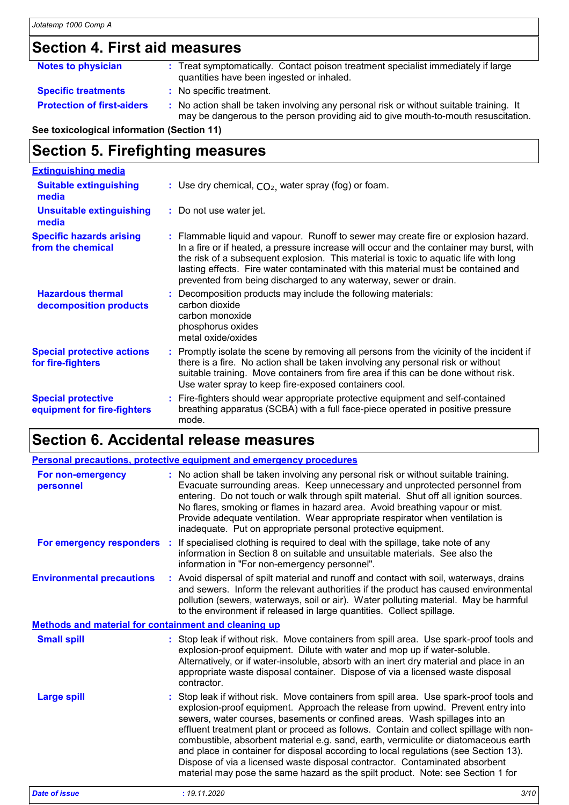### **Section 4. First aid measures**

| <b>Notes to physician</b>         | : Treat symptomatically. Contact poison treatment specialist immediately if large<br>quantities have been ingested or inhaled.                                                |
|-----------------------------------|-------------------------------------------------------------------------------------------------------------------------------------------------------------------------------|
| <b>Specific treatments</b>        | : No specific treatment.                                                                                                                                                      |
| <b>Protection of first-aiders</b> | : No action shall be taken involving any personal risk or without suitable training. It<br>may be dangerous to the person providing aid to give mouth-to-mouth resuscitation. |

**See toxicological information (Section 11)**

### **Section 5. Firefighting measures**

| <b>Extinguishing media</b>                               |                                                                                                                                                                                                                                                                                                                                                                                                                                  |
|----------------------------------------------------------|----------------------------------------------------------------------------------------------------------------------------------------------------------------------------------------------------------------------------------------------------------------------------------------------------------------------------------------------------------------------------------------------------------------------------------|
| <b>Suitable extinguishing</b><br>media                   | : Use dry chemical, $CO2$ , water spray (fog) or foam.                                                                                                                                                                                                                                                                                                                                                                           |
| <b>Unsuitable extinguishing</b><br>media                 | : Do not use water jet.                                                                                                                                                                                                                                                                                                                                                                                                          |
| <b>Specific hazards arising</b><br>from the chemical     | : Flammable liquid and vapour. Runoff to sewer may create fire or explosion hazard.<br>In a fire or if heated, a pressure increase will occur and the container may burst, with<br>the risk of a subsequent explosion. This material is toxic to aquatic life with long<br>lasting effects. Fire water contaminated with this material must be contained and<br>prevented from being discharged to any waterway, sewer or drain. |
| <b>Hazardous thermal</b><br>decomposition products       | : Decomposition products may include the following materials:<br>carbon dioxide<br>carbon monoxide<br>phosphorus oxides<br>metal oxide/oxides                                                                                                                                                                                                                                                                                    |
| <b>Special protective actions</b><br>for fire-fighters   | : Promptly isolate the scene by removing all persons from the vicinity of the incident if<br>there is a fire. No action shall be taken involving any personal risk or without<br>suitable training. Move containers from fire area if this can be done without risk.<br>Use water spray to keep fire-exposed containers cool.                                                                                                    |
| <b>Special protective</b><br>equipment for fire-fighters | : Fire-fighters should wear appropriate protective equipment and self-contained<br>breathing apparatus (SCBA) with a full face-piece operated in positive pressure<br>mode.                                                                                                                                                                                                                                                      |

# **Section 6. Accidental release measures**

|                                                             | Personal precautions, protective equipment and emergency procedures                                                                                                                                                                                                                                                                                                                                                                                                                                                                                                                                                                                                                                 |
|-------------------------------------------------------------|-----------------------------------------------------------------------------------------------------------------------------------------------------------------------------------------------------------------------------------------------------------------------------------------------------------------------------------------------------------------------------------------------------------------------------------------------------------------------------------------------------------------------------------------------------------------------------------------------------------------------------------------------------------------------------------------------------|
| For non-emergency<br>personnel                              | : No action shall be taken involving any personal risk or without suitable training.<br>Evacuate surrounding areas. Keep unnecessary and unprotected personnel from<br>entering. Do not touch or walk through spilt material. Shut off all ignition sources.<br>No flares, smoking or flames in hazard area. Avoid breathing vapour or mist.<br>Provide adequate ventilation. Wear appropriate respirator when ventilation is<br>inadequate. Put on appropriate personal protective equipment.                                                                                                                                                                                                      |
|                                                             | For emergency responders : If specialised clothing is required to deal with the spillage, take note of any<br>information in Section 8 on suitable and unsuitable materials. See also the<br>information in "For non-emergency personnel".                                                                                                                                                                                                                                                                                                                                                                                                                                                          |
| <b>Environmental precautions</b>                            | : Avoid dispersal of spilt material and runoff and contact with soil, waterways, drains<br>and sewers. Inform the relevant authorities if the product has caused environmental<br>pollution (sewers, waterways, soil or air). Water polluting material. May be harmful<br>to the environment if released in large quantities. Collect spillage.                                                                                                                                                                                                                                                                                                                                                     |
| <b>Methods and material for containment and cleaning up</b> |                                                                                                                                                                                                                                                                                                                                                                                                                                                                                                                                                                                                                                                                                                     |
| <b>Small spill</b>                                          | : Stop leak if without risk. Move containers from spill area. Use spark-proof tools and<br>explosion-proof equipment. Dilute with water and mop up if water-soluble.<br>Alternatively, or if water-insoluble, absorb with an inert dry material and place in an<br>appropriate waste disposal container. Dispose of via a licensed waste disposal<br>contractor.                                                                                                                                                                                                                                                                                                                                    |
| <b>Large spill</b>                                          | : Stop leak if without risk. Move containers from spill area. Use spark-proof tools and<br>explosion-proof equipment. Approach the release from upwind. Prevent entry into<br>sewers, water courses, basements or confined areas. Wash spillages into an<br>effluent treatment plant or proceed as follows. Contain and collect spillage with non-<br>combustible, absorbent material e.g. sand, earth, vermiculite or diatomaceous earth<br>and place in container for disposal according to local regulations (see Section 13).<br>Dispose of via a licensed waste disposal contractor. Contaminated absorbent<br>material may pose the same hazard as the spilt product. Note: see Section 1 for |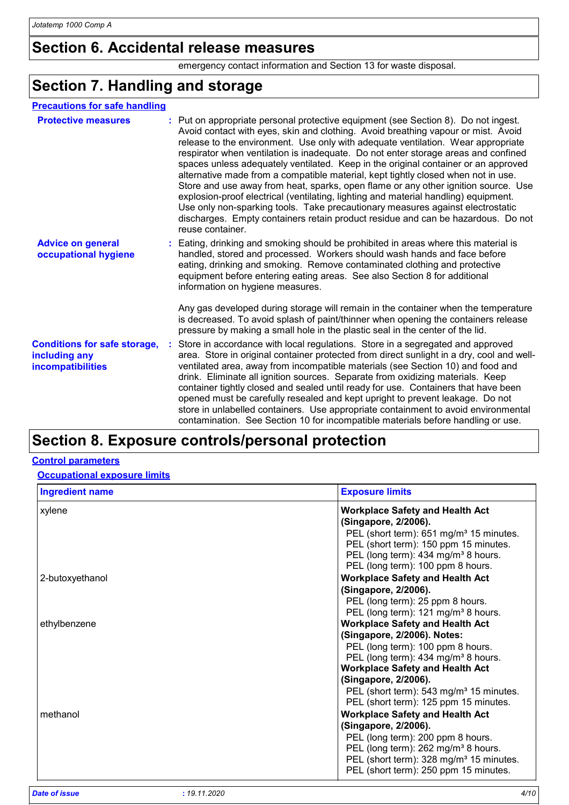### **Section 6. Accidental release measures**

emergency contact information and Section 13 for waste disposal.

### **Section 7. Handling and storage**

| <b>Precautions for safe handling</b> |
|--------------------------------------|
|                                      |

| <b>Protective measures</b>                                                       | : Put on appropriate personal protective equipment (see Section 8). Do not ingest.<br>Avoid contact with eyes, skin and clothing. Avoid breathing vapour or mist. Avoid<br>release to the environment. Use only with adequate ventilation. Wear appropriate<br>respirator when ventilation is inadequate. Do not enter storage areas and confined<br>spaces unless adequately ventilated. Keep in the original container or an approved<br>alternative made from a compatible material, kept tightly closed when not in use.<br>Store and use away from heat, sparks, open flame or any other ignition source. Use<br>explosion-proof electrical (ventilating, lighting and material handling) equipment.<br>Use only non-sparking tools. Take precautionary measures against electrostatic<br>discharges. Empty containers retain product residue and can be hazardous. Do not<br>reuse container. |
|----------------------------------------------------------------------------------|-----------------------------------------------------------------------------------------------------------------------------------------------------------------------------------------------------------------------------------------------------------------------------------------------------------------------------------------------------------------------------------------------------------------------------------------------------------------------------------------------------------------------------------------------------------------------------------------------------------------------------------------------------------------------------------------------------------------------------------------------------------------------------------------------------------------------------------------------------------------------------------------------------|
| <b>Advice on general</b><br>occupational hygiene                                 | : Eating, drinking and smoking should be prohibited in areas where this material is<br>handled, stored and processed. Workers should wash hands and face before<br>eating, drinking and smoking. Remove contaminated clothing and protective<br>equipment before entering eating areas. See also Section 8 for additional<br>information on hygiene measures.                                                                                                                                                                                                                                                                                                                                                                                                                                                                                                                                       |
|                                                                                  | Any gas developed during storage will remain in the container when the temperature<br>is decreased. To avoid splash of paint/thinner when opening the containers release<br>pressure by making a small hole in the plastic seal in the center of the lid.                                                                                                                                                                                                                                                                                                                                                                                                                                                                                                                                                                                                                                           |
| <b>Conditions for safe storage,</b><br>including any<br><b>incompatibilities</b> | Store in accordance with local regulations. Store in a segregated and approved<br>area. Store in original container protected from direct sunlight in a dry, cool and well-<br>ventilated area, away from incompatible materials (see Section 10) and food and<br>drink. Eliminate all ignition sources. Separate from oxidizing materials. Keep<br>container tightly closed and sealed until ready for use. Containers that have been<br>opened must be carefully resealed and kept upright to prevent leakage. Do not<br>store in unlabelled containers. Use appropriate containment to avoid environmental<br>contamination. See Section 10 for incompatible materials before handling or use.                                                                                                                                                                                                   |

### **Section 8. Exposure controls/personal protection**

### **Control parameters**

**Occupational exposure limits**

| <b>Ingredient name</b> | <b>Exposure limits</b>                                                                                                                                                                                                                                                                                                          |
|------------------------|---------------------------------------------------------------------------------------------------------------------------------------------------------------------------------------------------------------------------------------------------------------------------------------------------------------------------------|
| xylene                 | <b>Workplace Safety and Health Act</b><br>(Singapore, 2/2006).<br>PEL (short term): 651 mg/m <sup>3</sup> 15 minutes.<br>PEL (short term): 150 ppm 15 minutes.<br>PEL (long term): 434 mg/m <sup>3</sup> 8 hours.                                                                                                               |
| 2-butoxyethanol        | PEL (long term): 100 ppm 8 hours.<br><b>Workplace Safety and Health Act</b><br>(Singapore, 2/2006).<br>PEL (long term): 25 ppm 8 hours.<br>PEL (long term): 121 mg/m <sup>3</sup> 8 hours.                                                                                                                                      |
| ethylbenzene           | <b>Workplace Safety and Health Act</b><br>(Singapore, 2/2006). Notes:<br>PEL (long term): 100 ppm 8 hours.<br>PEL (long term): 434 mg/m <sup>3</sup> 8 hours.<br><b>Workplace Safety and Health Act</b><br>(Singapore, 2/2006).<br>PEL (short term): 543 mg/m <sup>3</sup> 15 minutes.<br>PEL (short term): 125 ppm 15 minutes. |
| methanol               | <b>Workplace Safety and Health Act</b><br>(Singapore, 2/2006).<br>PEL (long term): 200 ppm 8 hours.<br>PEL (long term): 262 mg/m <sup>3</sup> 8 hours.<br>PEL (short term): 328 mg/m <sup>3</sup> 15 minutes.<br>PEL (short term): 250 ppm 15 minutes.                                                                          |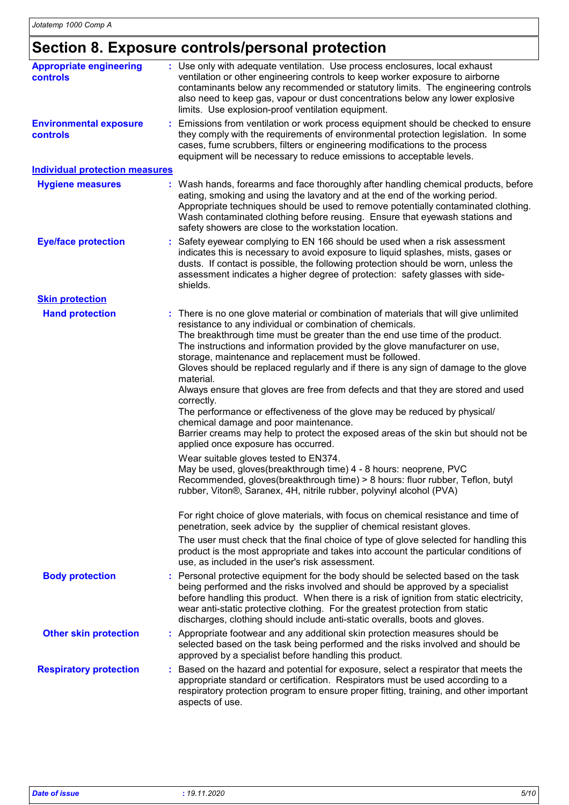## **Section 8. Exposure controls/personal protection**

| <b>Appropriate engineering</b><br>controls | : Use only with adequate ventilation. Use process enclosures, local exhaust<br>ventilation or other engineering controls to keep worker exposure to airborne<br>contaminants below any recommended or statutory limits. The engineering controls<br>also need to keep gas, vapour or dust concentrations below any lower explosive<br>limits. Use explosion-proof ventilation equipment.                                                                                                                                                                                                                                                                                                                                                                                                                                                                                                                                                                                                                                                                                                                                                                                                                                                                                                                                                                             |
|--------------------------------------------|----------------------------------------------------------------------------------------------------------------------------------------------------------------------------------------------------------------------------------------------------------------------------------------------------------------------------------------------------------------------------------------------------------------------------------------------------------------------------------------------------------------------------------------------------------------------------------------------------------------------------------------------------------------------------------------------------------------------------------------------------------------------------------------------------------------------------------------------------------------------------------------------------------------------------------------------------------------------------------------------------------------------------------------------------------------------------------------------------------------------------------------------------------------------------------------------------------------------------------------------------------------------------------------------------------------------------------------------------------------------|
| <b>Environmental exposure</b><br>controls  | : Emissions from ventilation or work process equipment should be checked to ensure<br>they comply with the requirements of environmental protection legislation. In some<br>cases, fume scrubbers, filters or engineering modifications to the process<br>equipment will be necessary to reduce emissions to acceptable levels.                                                                                                                                                                                                                                                                                                                                                                                                                                                                                                                                                                                                                                                                                                                                                                                                                                                                                                                                                                                                                                      |
| <b>Individual protection measures</b>      |                                                                                                                                                                                                                                                                                                                                                                                                                                                                                                                                                                                                                                                                                                                                                                                                                                                                                                                                                                                                                                                                                                                                                                                                                                                                                                                                                                      |
| <b>Hygiene measures</b>                    | : Wash hands, forearms and face thoroughly after handling chemical products, before<br>eating, smoking and using the lavatory and at the end of the working period.<br>Appropriate techniques should be used to remove potentially contaminated clothing.<br>Wash contaminated clothing before reusing. Ensure that eyewash stations and<br>safety showers are close to the workstation location.                                                                                                                                                                                                                                                                                                                                                                                                                                                                                                                                                                                                                                                                                                                                                                                                                                                                                                                                                                    |
| <b>Eye/face protection</b>                 | Safety eyewear complying to EN 166 should be used when a risk assessment<br>indicates this is necessary to avoid exposure to liquid splashes, mists, gases or<br>dusts. If contact is possible, the following protection should be worn, unless the<br>assessment indicates a higher degree of protection: safety glasses with side-<br>shields.                                                                                                                                                                                                                                                                                                                                                                                                                                                                                                                                                                                                                                                                                                                                                                                                                                                                                                                                                                                                                     |
| <b>Skin protection</b>                     |                                                                                                                                                                                                                                                                                                                                                                                                                                                                                                                                                                                                                                                                                                                                                                                                                                                                                                                                                                                                                                                                                                                                                                                                                                                                                                                                                                      |
| <b>Hand protection</b>                     | : There is no one glove material or combination of materials that will give unlimited<br>resistance to any individual or combination of chemicals.<br>The breakthrough time must be greater than the end use time of the product.<br>The instructions and information provided by the glove manufacturer on use,<br>storage, maintenance and replacement must be followed.<br>Gloves should be replaced regularly and if there is any sign of damage to the glove<br>material.<br>Always ensure that gloves are free from defects and that they are stored and used<br>correctly.<br>The performance or effectiveness of the glove may be reduced by physical/<br>chemical damage and poor maintenance.<br>Barrier creams may help to protect the exposed areas of the skin but should not be<br>applied once exposure has occurred.<br>Wear suitable gloves tested to EN374.<br>May be used, gloves(breakthrough time) 4 - 8 hours: neoprene, PVC<br>Recommended, gloves(breakthrough time) > 8 hours: fluor rubber, Teflon, butyl<br>rubber, Viton®, Saranex, 4H, nitrile rubber, polyvinyl alcohol (PVA)<br>For right choice of glove materials, with focus on chemical resistance and time of<br>penetration, seek advice by the supplier of chemical resistant gloves.<br>The user must check that the final choice of type of glove selected for handling this |
| <b>Body protection</b>                     | product is the most appropriate and takes into account the particular conditions of<br>use, as included in the user's risk assessment.<br>: Personal protective equipment for the body should be selected based on the task                                                                                                                                                                                                                                                                                                                                                                                                                                                                                                                                                                                                                                                                                                                                                                                                                                                                                                                                                                                                                                                                                                                                          |
|                                            | being performed and the risks involved and should be approved by a specialist<br>before handling this product. When there is a risk of ignition from static electricity,<br>wear anti-static protective clothing. For the greatest protection from static<br>discharges, clothing should include anti-static overalls, boots and gloves.                                                                                                                                                                                                                                                                                                                                                                                                                                                                                                                                                                                                                                                                                                                                                                                                                                                                                                                                                                                                                             |
| <b>Other skin protection</b>               | : Appropriate footwear and any additional skin protection measures should be<br>selected based on the task being performed and the risks involved and should be<br>approved by a specialist before handling this product.                                                                                                                                                                                                                                                                                                                                                                                                                                                                                                                                                                                                                                                                                                                                                                                                                                                                                                                                                                                                                                                                                                                                            |
| <b>Respiratory protection</b>              | Based on the hazard and potential for exposure, select a respirator that meets the<br>appropriate standard or certification. Respirators must be used according to a<br>respiratory protection program to ensure proper fitting, training, and other important<br>aspects of use.                                                                                                                                                                                                                                                                                                                                                                                                                                                                                                                                                                                                                                                                                                                                                                                                                                                                                                                                                                                                                                                                                    |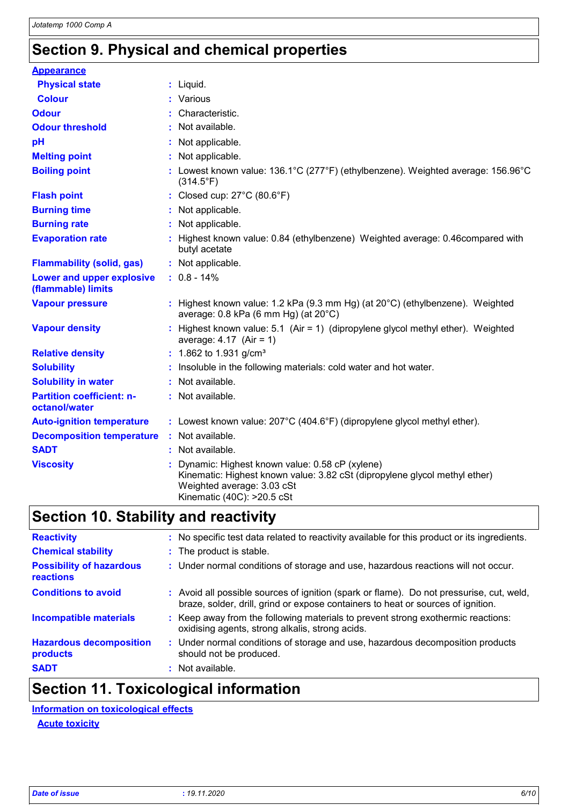## **Section 9. Physical and chemical properties**

| <b>Appearance</b>                                 |                                                                                                                                                                                          |
|---------------------------------------------------|------------------------------------------------------------------------------------------------------------------------------------------------------------------------------------------|
| <b>Physical state</b>                             | : Liquid.                                                                                                                                                                                |
| <b>Colour</b>                                     | : Various                                                                                                                                                                                |
| <b>Odour</b>                                      | : Characteristic.                                                                                                                                                                        |
| <b>Odour threshold</b>                            | : Not available.                                                                                                                                                                         |
| pH                                                | : Not applicable.                                                                                                                                                                        |
| <b>Melting point</b>                              | : Not applicable.                                                                                                                                                                        |
| <b>Boiling point</b>                              | : Lowest known value: 136.1°C (277°F) (ethylbenzene). Weighted average: 156.96°C<br>$(314.5^{\circ}F)$                                                                                   |
| <b>Flash point</b>                                | : Closed cup: 27°C (80.6°F)                                                                                                                                                              |
| <b>Burning time</b>                               | : Not applicable.                                                                                                                                                                        |
| <b>Burning rate</b>                               | : Not applicable.                                                                                                                                                                        |
| <b>Evaporation rate</b>                           | : Highest known value: 0.84 (ethylbenzene) Weighted average: 0.46 compared with<br>butyl acetate                                                                                         |
| <b>Flammability (solid, gas)</b>                  | : Not applicable.                                                                                                                                                                        |
| Lower and upper explosive<br>(flammable) limits   | $: 0.8 - 14\%$                                                                                                                                                                           |
| <b>Vapour pressure</b>                            | : Highest known value: 1.2 kPa (9.3 mm Hg) (at 20°C) (ethylbenzene). Weighted<br>average: $0.8$ kPa (6 mm Hg) (at $20^{\circ}$ C)                                                        |
| <b>Vapour density</b>                             | : Highest known value: 5.1 (Air = 1) (dipropylene glycol methyl ether). Weighted<br>average: $4.17$ (Air = 1)                                                                            |
| <b>Relative density</b>                           | : 1.862 to 1.931 g/cm <sup>3</sup>                                                                                                                                                       |
| <b>Solubility</b>                                 | : Insoluble in the following materials: cold water and hot water.                                                                                                                        |
| <b>Solubility in water</b>                        | : Not available.                                                                                                                                                                         |
| <b>Partition coefficient: n-</b><br>octanol/water | : Not available.                                                                                                                                                                         |
| <b>Auto-ignition temperature</b>                  | : Lowest known value: $207^{\circ}$ C (404.6°F) (dipropylene glycol methyl ether).                                                                                                       |
| <b>Decomposition temperature</b>                  | : Not available.                                                                                                                                                                         |
| <b>SADT</b>                                       | : Not available.                                                                                                                                                                         |
| <b>Viscosity</b>                                  | Dynamic: Highest known value: 0.58 cP (xylene)<br>Kinematic: Highest known value: 3.82 cSt (dipropylene glycol methyl ether)<br>Weighted average: 3.03 cSt<br>Kinematic (40C): >20.5 cSt |

## **Section 10. Stability and reactivity**

| <b>Reactivity</b>                            | : No specific test data related to reactivity available for this product or its ingredients.                                                                                 |
|----------------------------------------------|------------------------------------------------------------------------------------------------------------------------------------------------------------------------------|
| <b>Chemical stability</b>                    | : The product is stable.                                                                                                                                                     |
| <b>Possibility of hazardous</b><br>reactions | : Under normal conditions of storage and use, hazardous reactions will not occur.                                                                                            |
| <b>Conditions to avoid</b>                   | : Avoid all possible sources of ignition (spark or flame). Do not pressurise, cut, weld,<br>braze, solder, drill, grind or expose containers to heat or sources of ignition. |
| <b>Incompatible materials</b>                | : Keep away from the following materials to prevent strong exothermic reactions:<br>oxidising agents, strong alkalis, strong acids.                                          |
| <b>Hazardous decomposition</b><br>products   | : Under normal conditions of storage and use, hazardous decomposition products<br>should not be produced.                                                                    |
| <b>SADT</b>                                  | : Not available.                                                                                                                                                             |

## **Section 11. Toxicological information**

**Information on toxicological effects**

**Acute toxicity**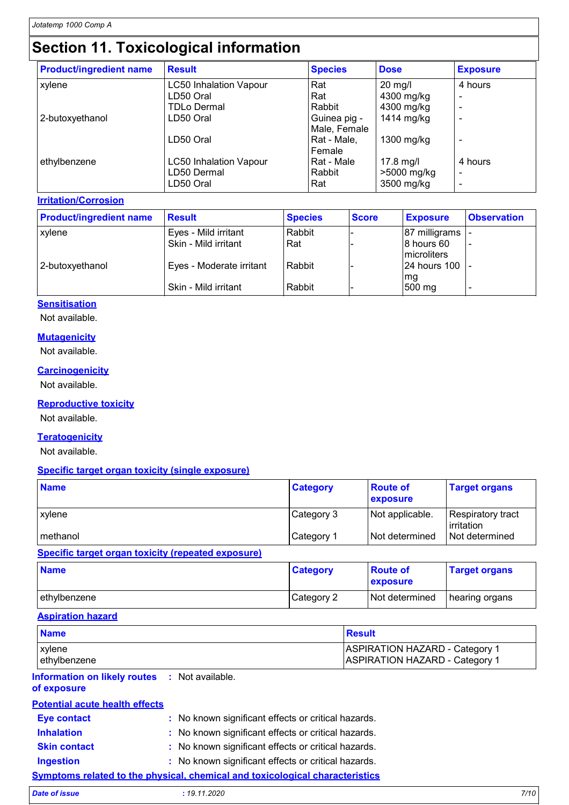## **Section 11. Toxicological information**

| <b>Product/ingredient name</b> | <b>Result</b>                 | <b>Species</b> | <b>Dose</b>   | <b>Exposure</b> |
|--------------------------------|-------------------------------|----------------|---------------|-----------------|
| xylene                         | <b>LC50 Inhalation Vapour</b> | Rat            | $20$ mg/l     | 4 hours         |
|                                | LD50 Oral                     | Rat            | 4300 mg/kg    |                 |
|                                | <b>TDLo Dermal</b>            | Rabbit         | 4300 mg/kg    |                 |
| 2-butoxyethanol                | LD50 Oral                     | Guinea pig -   | 1414 mg/kg    |                 |
|                                |                               | Male, Female   |               |                 |
|                                | LD50 Oral                     | Rat - Male,    | 1300 mg/ $kg$ |                 |
|                                |                               | Female         |               |                 |
| ethylbenzene                   | <b>LC50 Inhalation Vapour</b> | Rat - Male     | $17.8$ mg/l   | 4 hours         |
|                                | LD50 Dermal                   | Rabbit         | >5000 mg/kg   |                 |
|                                | LD50 Oral                     | Rat            | 3500 mg/kg    |                 |

**Irritation/Corrosion**

| <b>Product/ingredient name</b> | <b>Result</b>            | <b>Species</b> | <b>Score</b> | <b>Exposure</b>  | <b>Observation</b> |
|--------------------------------|--------------------------|----------------|--------------|------------------|--------------------|
| xylene                         | Eyes - Mild irritant     | Rabbit         |              | 87 milligrams    |                    |
|                                | Skin - Mild irritant     | Rat            |              | 8 hours 60       |                    |
|                                |                          |                |              | microliters      |                    |
| 2-butoxyethanol                | Eyes - Moderate irritant | Rabbit         |              | 124 hours 100 T- |                    |
|                                |                          |                |              | mg               |                    |
|                                | Skin - Mild irritant     | Rabbit         |              | 500 mg           |                    |

### **Sensitisation**

Not available.

#### **Mutagenicity**

Not available.

#### **Carcinogenicity**

Not available.

### **Reproductive toxicity**

Not available.

### **Teratogenicity**

Not available.

#### **Specific target organ toxicity (single exposure)**

| <b>Name</b>                                         | <b>Category</b> | <b>Route of</b><br><b>exposure</b> | <b>Target organs</b>                   |
|-----------------------------------------------------|-----------------|------------------------------------|----------------------------------------|
| xylene                                              | Category 3      | Not applicable.                    | <b>Respiratory tract</b><br>irritation |
| methanol                                            | Category 1      | Not determined                     | Not determined                         |
| Duaalfia taunnt aunan taulaltu (uanaataal aunaanua) |                 |                                    |                                        |

#### **Specific target organ toxicity (repeated exposure)**

| <b>Name</b>   | <b>Category</b> | <b>Route of</b><br>exposure | <b>Target organs</b> |
|---------------|-----------------|-----------------------------|----------------------|
| lethylbenzene | Category 2      | Not determined              | hearing organs       |

### **Aspiration hazard**

| <b>Name</b>                                                         |                                                                                     | <b>Result</b>                                                                  |  |  |
|---------------------------------------------------------------------|-------------------------------------------------------------------------------------|--------------------------------------------------------------------------------|--|--|
| xylene<br>ethylbenzene                                              |                                                                                     | <b>ASPIRATION HAZARD - Category 1</b><br><b>ASPIRATION HAZARD - Category 1</b> |  |  |
| <b>Information on likely routes : Not available.</b><br>of exposure |                                                                                     |                                                                                |  |  |
| <b>Potential acute health effects</b>                               |                                                                                     |                                                                                |  |  |
| <b>Eye contact</b>                                                  | : No known significant effects or critical hazards.                                 |                                                                                |  |  |
| <b>Inhalation</b>                                                   | : No known significant effects or critical hazards.                                 |                                                                                |  |  |
| <b>Skin contact</b>                                                 | : No known significant effects or critical hazards.                                 |                                                                                |  |  |
| <b>Ingestion</b>                                                    | : No known significant effects or critical hazards.                                 |                                                                                |  |  |
|                                                                     | <b>Symptoms related to the physical, chemical and toxicological characteristics</b> |                                                                                |  |  |

| <b>Date of issue</b> | 7/10 |
|----------------------|------|
| : 19.11.2020         |      |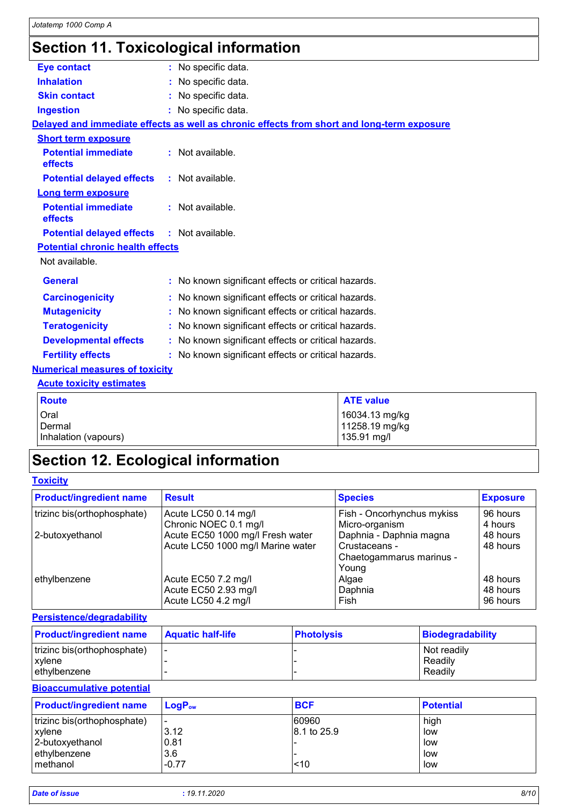# **Section 11. Toxicological information**

| <b>Eye contact</b>                      | : No specific data.                                                                        |  |
|-----------------------------------------|--------------------------------------------------------------------------------------------|--|
| <b>Inhalation</b>                       | No specific data.                                                                          |  |
| <b>Skin contact</b>                     | : No specific data.                                                                        |  |
| <b>Ingestion</b>                        | : No specific data.                                                                        |  |
|                                         | Delayed and immediate effects as well as chronic effects from short and long-term exposure |  |
| <b>Short term exposure</b>              |                                                                                            |  |
| <b>Potential immediate</b><br>effects   | : Not available.                                                                           |  |
| <b>Potential delayed effects</b>        | : Not available.                                                                           |  |
| <b>Long term exposure</b>               |                                                                                            |  |
| <b>Potential immediate</b><br>effects   | : Not available.                                                                           |  |
| <b>Potential delayed effects</b>        | : Not available.                                                                           |  |
| <b>Potential chronic health effects</b> |                                                                                            |  |
| Not available.                          |                                                                                            |  |
| <b>General</b>                          | : No known significant effects or critical hazards.                                        |  |
| <b>Carcinogenicity</b>                  | No known significant effects or critical hazards.                                          |  |
| <b>Mutagenicity</b>                     | No known significant effects or critical hazards.                                          |  |
| <b>Teratogenicity</b>                   | No known significant effects or critical hazards.                                          |  |
| <b>Developmental effects</b>            | : No known significant effects or critical hazards.                                        |  |
| <b>Fertility effects</b>                | No known significant effects or critical hazards.                                          |  |
| <b>Numerical measures of toxicity</b>   |                                                                                            |  |
| <b>Acute toxicity estimates</b>         |                                                                                            |  |
| <b>Route</b>                            | <b>ATE value</b>                                                                           |  |
| Oral                                    | 16034.13 mg/kg                                                                             |  |
| Dermal                                  | 11258.19 mg/kg                                                                             |  |
| Inhalation (vapours)                    | 135.91 mg/l                                                                                |  |

# **Section 12. Ecological information**

| <b>Toxicity</b> |
|-----------------|
|-----------------|

| <b>Product/ingredient name</b> | <b>Result</b>                     | <b>Species</b>             | <b>Exposure</b> |
|--------------------------------|-----------------------------------|----------------------------|-----------------|
| trizinc bis(orthophosphate)    | Acute LC50 0.14 mg/l              | Fish - Oncorhynchus mykiss | 96 hours        |
|                                | Chronic NOEC 0.1 mg/l             | Micro-organism             | 4 hours         |
| 2-butoxyethanol                | Acute EC50 1000 mg/l Fresh water  | Daphnia - Daphnia magna    | 48 hours        |
|                                | Acute LC50 1000 mg/l Marine water | Crustaceans -              | 48 hours        |
|                                |                                   | Chaetogammarus marinus -   |                 |
|                                |                                   | Young                      |                 |
| ethylbenzene                   | Acute EC50 7.2 mg/l               | Algae                      | 48 hours        |
|                                | Acute EC50 2.93 mg/l              | Daphnia                    | 48 hours        |
|                                | Acute LC50 4.2 mg/l               | Fish                       | 96 hours        |

### **Persistence/degradability**

| <b>Product/ingredient name</b> | <b>Aquatic half-life</b> | <b>Photolysis</b> | Biodegradability |
|--------------------------------|--------------------------|-------------------|------------------|
| trizinc bis(orthophosphate)    | . .                      |                   | Not readily      |
| xvlene                         |                          |                   | Readily          |
| ethylbenzene                   |                          |                   | Readily          |

### **Bioaccumulative potential**

| <b>Product/ingredient name</b> | $LoaPow$                 | <b>BCF</b>  | <b>Potential</b> |
|--------------------------------|--------------------------|-------------|------------------|
| trizinc bis(orthophosphate)    | $\overline{\phantom{0}}$ | 60960       | high             |
| xvlene                         | 3.12                     | 8.1 to 25.9 | low              |
| 2-butoxyethanol                | 0.81                     |             | low              |
| ethylbenzene                   | 3.6                      |             | low              |
| l methanol                     | $-0.77$                  | 10          | low              |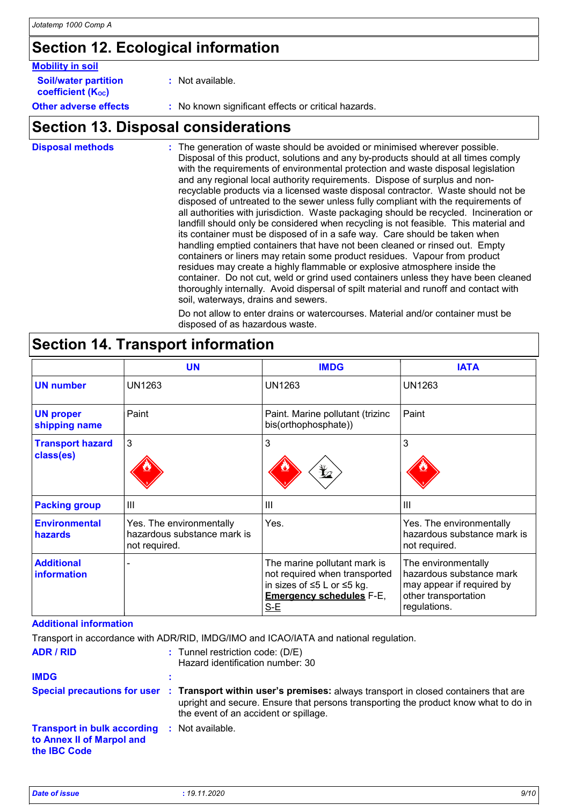## **Section 12. Ecological information**

| <b>Mobility in soil</b>     |  |
|-----------------------------|--|
| <b>Soil/water partition</b> |  |

**:** Not available.

**coefficient (Koc)** 

**Other adverse effects** : No known significant effects or critical hazards.

## **Section 13. Disposal considerations**

| <b>Disposal methods</b> | : The generation of waste should be avoided or minimised wherever possible.<br>Disposal of this product, solutions and any by-products should at all times comply<br>with the requirements of environmental protection and waste disposal legislation<br>and any regional local authority requirements. Dispose of surplus and non-<br>recyclable products via a licensed waste disposal contractor. Waste should not be<br>disposed of untreated to the sewer unless fully compliant with the requirements of<br>all authorities with jurisdiction. Waste packaging should be recycled. Incineration or<br>landfill should only be considered when recycling is not feasible. This material and<br>its container must be disposed of in a safe way. Care should be taken when<br>handling emptied containers that have not been cleaned or rinsed out. Empty<br>containers or liners may retain some product residues. Vapour from product<br>residues may create a highly flammable or explosive atmosphere inside the<br>container. Do not cut, weld or grind used containers unless they have been cleaned<br>thoroughly internally. Avoid dispersal of spilt material and runoff and contact with<br>soil, waterways, drains and sewers. |
|-------------------------|-----------------------------------------------------------------------------------------------------------------------------------------------------------------------------------------------------------------------------------------------------------------------------------------------------------------------------------------------------------------------------------------------------------------------------------------------------------------------------------------------------------------------------------------------------------------------------------------------------------------------------------------------------------------------------------------------------------------------------------------------------------------------------------------------------------------------------------------------------------------------------------------------------------------------------------------------------------------------------------------------------------------------------------------------------------------------------------------------------------------------------------------------------------------------------------------------------------------------------------------------|
|                         | Do not allow to enter drains or watercourses. Material and/or container must be                                                                                                                                                                                                                                                                                                                                                                                                                                                                                                                                                                                                                                                                                                                                                                                                                                                                                                                                                                                                                                                                                                                                                               |

or watercourses. Material and/or container must be disposed of as hazardous waste.

|                                         | <b>UN</b>                                                                | <b>IMDG</b>                                                                                                                             | <b>IATA</b>                                                                                                          |
|-----------------------------------------|--------------------------------------------------------------------------|-----------------------------------------------------------------------------------------------------------------------------------------|----------------------------------------------------------------------------------------------------------------------|
| <b>UN number</b>                        | <b>UN1263</b>                                                            | <b>UN1263</b>                                                                                                                           | UN1263                                                                                                               |
| <b>UN proper</b><br>shipping name       | Paint                                                                    | Paint. Marine pollutant (trizinc<br>bis(orthophosphate))                                                                                | Paint                                                                                                                |
| <b>Transport hazard</b><br>class(es)    | 3                                                                        | 3<br>⊁∠                                                                                                                                 | 3                                                                                                                    |
| <b>Packing group</b>                    | Ш                                                                        | Ш                                                                                                                                       | $\mathbf{III}$                                                                                                       |
| <b>Environmental</b><br>hazards         | Yes. The environmentally<br>hazardous substance mark is<br>not required. | Yes.                                                                                                                                    | Yes. The environmentally<br>hazardous substance mark is<br>not required.                                             |
| <b>Additional</b><br><b>information</b> |                                                                          | The marine pollutant mark is<br>not required when transported<br>in sizes of ≤5 L or ≤5 kg.<br><b>Emergency schedules F-E,</b><br>$S-E$ | The environmentally<br>hazardous substance mark<br>may appear if required by<br>other transportation<br>regulations. |

### **Section 14. Transport information**

### **Additional information**

Transport in accordance with ADR/RID, IMDG/IMO and ICAO/IATA and national regulation.

| <b>ADR / RID</b>                                                                       | $:$ Tunnel restriction code: (D/E)<br>Hazard identification number: 30                                                                                                                                                                          |
|----------------------------------------------------------------------------------------|-------------------------------------------------------------------------------------------------------------------------------------------------------------------------------------------------------------------------------------------------|
| <b>IMDG</b>                                                                            |                                                                                                                                                                                                                                                 |
|                                                                                        | Special precautions for user : Transport within user's premises: always transport in closed containers that are<br>upright and secure. Ensure that persons transporting the product know what to do in<br>the event of an accident or spillage. |
| <b>Transport in bulk according</b><br>to Annex II of Marpol and<br>the <b>IBC</b> Code | : Not available.                                                                                                                                                                                                                                |